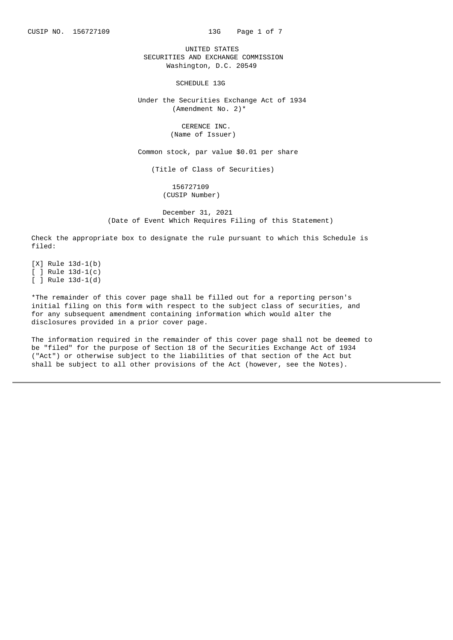CUSIP NO. 156727109 13G Page 1 of 7

UNITED STATES SECURITIES AND EXCHANGE COMMISSION Washington, D.C. 20549

SCHEDULE 13G

Under the Securities Exchange Act of 1934 (Amendment No. 2)\*

> CERENCE INC. (Name of Issuer)

Common stock, par value \$0.01 per share

(Title of Class of Securities)

156727109 (CUSIP Number)

December 31, 2021 (Date of Event Which Requires Filing of this Statement)

Check the appropriate box to designate the rule pursuant to which this Schedule is filed:

 $[X]$  Rule 13d-1(b)  $\overline{$   $\overline{ }$   $\overline{ }$  Rule 13d-1(c)  $[ ]$  Rule 13d-1(d)

\*The remainder of this cover page shall be filled out for a reporting person's initial filing on this form with respect to the subject class of securities, and for any subsequent amendment containing information which would alter the disclosures provided in a prior cover page.

The information required in the remainder of this cover page shall not be deemed to be "filed" for the purpose of Section 18 of the Securities Exchange Act of 1934 ("Act") or otherwise subject to the liabilities of that section of the Act but shall be subject to all other provisions of the Act (however, see the Notes).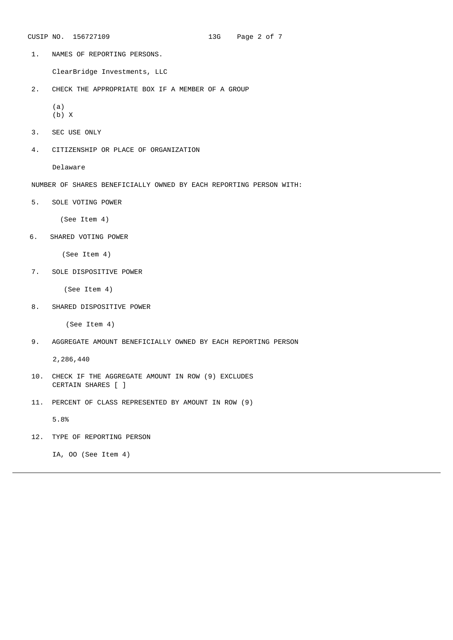CUSIP NO. 156727109 13G Page 2 of 7

1. NAMES OF REPORTING PERSONS.

ClearBridge Investments, LLC

2. CHECK THE APPROPRIATE BOX IF A MEMBER OF A GROUP

(a) (b) X

- 3. SEC USE ONLY
- 4. CITIZENSHIP OR PLACE OF ORGANIZATION

Delaware

- NUMBER OF SHARES BENEFICIALLY OWNED BY EACH REPORTING PERSON WITH:
- 5. SOLE VOTING POWER

(See Item 4)

6. SHARED VOTING POWER

(See Item 4)

7. SOLE DISPOSITIVE POWER

(See Item 4)

8. SHARED DISPOSITIVE POWER

(See Item 4)

9. AGGREGATE AMOUNT BENEFICIALLY OWNED BY EACH REPORTING PERSON

2,286,440

- 10. CHECK IF THE AGGREGATE AMOUNT IN ROW (9) EXCLUDES CERTAIN SHARES [ ]
- 11. PERCENT OF CLASS REPRESENTED BY AMOUNT IN ROW (9)

5.8%

12. TYPE OF REPORTING PERSON

IA, OO (See Item 4)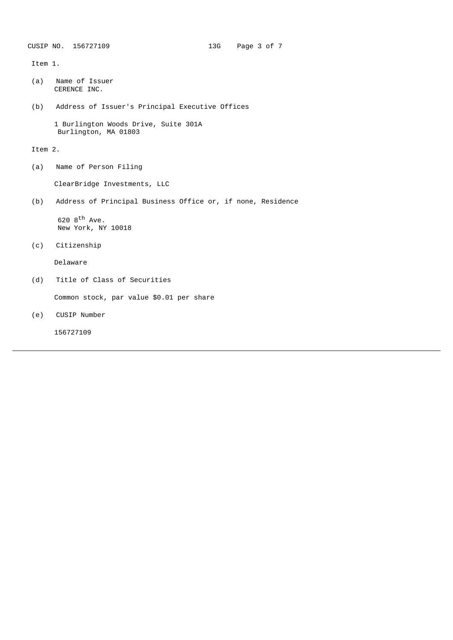Item 1.

- (a) Name of Issuer CERENCE INC.
- (b) Address of Issuer's Principal Executive Offices

1 Burlington Woods Drive, Suite 301A Burlington, MA 01803

Item 2.

(a) Name of Person Filing

ClearBridge Investments, LLC

(b) Address of Principal Business Office or, if none, Residence

620 8<sup>th</sup> Ave. New York, NY 10018

(c) Citizenship

Delaware

(d) Title of Class of Securities

Common stock, par value \$0.01 per share

(e) CUSIP Number

156727109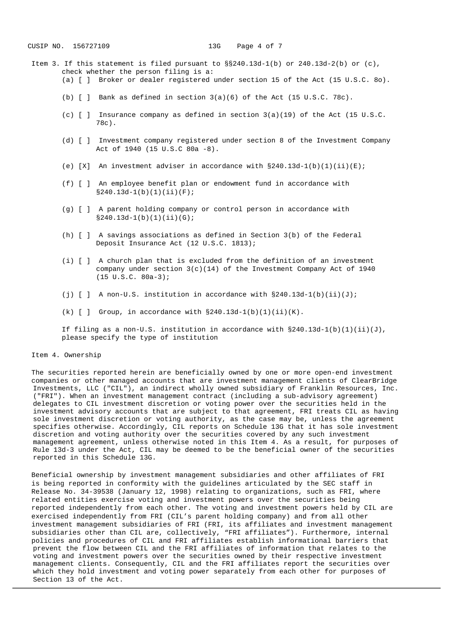- Item 3. If this statement is filed pursuant to  $\S240.13d-1(b)$  or 240.13d-2(b) or (c), check whether the person filing is a:
	- (a) [ ] Broker or dealer registered under section 15 of the Act (15 U.S.C. 8o).
	- (b)  $\lceil$  | Bank as defined in section 3(a)(6) of the Act (15 U.S.C. 78c).
	- (c) [ ] Insurance company as defined in section 3(a)(19) of the Act (15 U.S.C. 78c).
	- (d) [ ] Investment company registered under section 8 of the Investment Company Act of 1940 (15 U.S.C 80a ‑8).
	- (e)  $[X]$  An investment adviser in accordance with  $\S240.13d-1(b)(1)(ii)(E)$ ;
	- (f) [ ] An employee benefit plan or endowment fund in accordance with §240.13d-1(b)(1)(ii)(F);
	- (g) [ ] A parent holding company or control person in accordance with  $§240.13d-1(b)(1)(ii)(G);$
	- (h) [ ] A savings associations as defined in Section 3(b) of the Federal Deposit Insurance Act (12 U.S.C. 1813);
	- (i) [ ] A church plan that is excluded from the definition of an investment company under section  $3(c)(14)$  of the Investment Company Act of 1940  $(15 \tU.S.C. 80a-3);$
	- (j)  $[ ]$  A non-U.S. institution in accordance with  $\S240.13d-1(b)(ii)(J);$
	- (k)  $[ ]$  Group, in accordance with  $§240.13d-1(b)(1)(ii)(K)$ .

If filing as a non-U.S. institution in accordance with §240.13d-1(b)(1)(ii)(J), please specify the type of institution

## Item 4. Ownership

The securities reported herein are beneficially owned by one or more open-end investment companies or other managed accounts that are investment management clients of ClearBridge Investments, LLC ("CIL"), an indirect wholly owned subsidiary of Franklin Resources, Inc. ("FRI"). When an investment management contract (including a sub‑advisory agreement) delegates to CIL investment discretion or voting power over the securities held in the investment advisory accounts that are subject to that agreement, FRI treats CIL as having sole investment discretion or voting authority, as the case may be, unless the agreement specifies otherwise. Accordingly, CIL reports on Schedule 13G that it has sole investment discretion and voting authority over the securities covered by any such investment management agreement, unless otherwise noted in this Item 4. As a result, for purposes of Rule 13d-3 under the Act, CIL may be deemed to be the beneficial owner of the securities reported in this Schedule 13G.

Beneficial ownership by investment management subsidiaries and other affiliates of FRI is being reported in conformity with the guidelines articulated by the SEC staff in Release No. 34‑39538 (January 12, 1998) relating to organizations, such as FRI, where related entities exercise voting and investment powers over the securities being reported independently from each other. The voting and investment powers held by CIL are exercised independently from FRI (CIL's parent holding company) and from all other investment management subsidiaries of FRI (FRI, its affiliates and investment management subsidiaries other than CIL are, collectively, "FRI affiliates"). Furthermore, internal policies and procedures of CIL and FRI affiliates establish informational barriers that prevent the flow between CIL and the FRI affiliates of information that relates to the voting and investment powers over the securities owned by their respective investment management clients. Consequently, CIL and the FRI affiliates report the securities over which they hold investment and voting power separately from each other for purposes of Section 13 of the Act.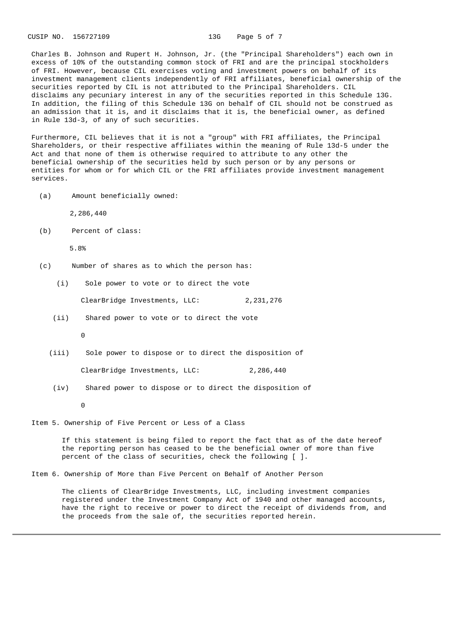CUSIP NO. 156727109 13G Page 5 of 7

Charles B. Johnson and Rupert H. Johnson, Jr. (the "Principal Shareholders") each own in excess of 10% of the outstanding common stock of FRI and are the principal stockholders of FRI. However, because CIL exercises voting and investment powers on behalf of its investment management clients independently of FRI affiliates, beneficial ownership of the securities reported by CIL is not attributed to the Principal Shareholders. CIL disclaims any pecuniary interest in any of the securities reported in this Schedule 13G. In addition, the filing of this Schedule 13G on behalf of CIL should not be construed as an admission that it is, and it disclaims that it is, the beneficial owner, as defined in Rule 13d‑3, of any of such securities.

Furthermore, CIL believes that it is not a "group" with FRI affiliates, the Principal Shareholders, or their respective affiliates within the meaning of Rule 13d-5 under the Act and that none of them is otherwise required to attribute to any other the beneficial ownership of the securities held by such person or by any persons or entities for whom or for which CIL or the FRI affiliates provide investment management services.

(a) Amount beneficially owned:

2,286,440

(b) Percent of class:

5.8%

- (c) Number of shares as to which the person has:
	- (i) Sole power to vote or to direct the vote

ClearBridge Investments, LLC: 2,231,276

(ii) Shared power to vote or to direct the vote

 $\Omega$ 

(iii) Sole power to dispose or to direct the disposition of

ClearBridge Investments, LLC: 2,286,440

(iv) Shared power to dispose or to direct the disposition of

 $\Omega$ 

Item 5. Ownership of Five Percent or Less of a Class

If this statement is being filed to report the fact that as of the date hereof the reporting person has ceased to be the beneficial owner of more than five percent of the class of securities, check the following  $[ ] .$ 

Item 6. Ownership of More than Five Percent on Behalf of Another Person

The clients of ClearBridge Investments, LLC, including investment companies registered under the Investment Company Act of 1940 and other managed accounts, have the right to receive or power to direct the receipt of dividends from, and the proceeds from the sale of, the securities reported herein.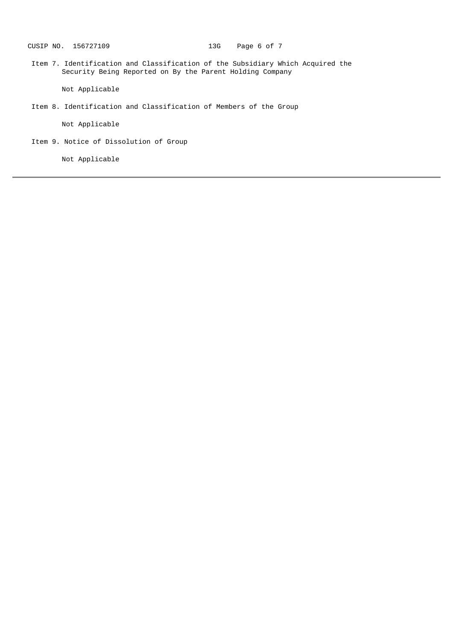Item 7. Identification and Classification of the Subsidiary Which Acquired the Security Being Reported on By the Parent Holding Company

Not Applicable

Item 8. Identification and Classification of Members of the Group

Not Applicable

Item 9. Notice of Dissolution of Group

Not Applicable